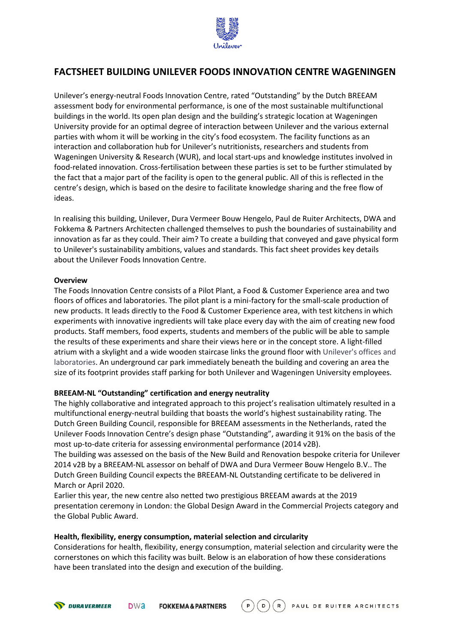

# **FACTSHEET BUILDING UNILEVER FOODS INNOVATION CENTRE WAGENINGEN**

Unilever's energy-neutral Foods Innovation Centre, rated "Outstanding" by the Dutch BREEAM assessment body for environmental performance, is one of the most sustainable multifunctional buildings in the world. Its open plan design and the building's strategic location at Wageningen University provide for an optimal degree of interaction between Unilever and the various external parties with whom it will be working in the city's food ecosystem. The facility functions as an interaction and collaboration hub for Unilever's nutritionists, researchers and students from Wageningen University & Research (WUR), and local start-ups and knowledge institutes involved in food-related innovation. Cross-fertilisation between these parties is set to be further stimulated by the fact that a major part of the facility is open to the general public. All of this is reflected in the centre's design, which is based on the desire to facilitate knowledge sharing and the free flow of ideas.

In realising this building, Unilever, Dura Vermeer Bouw Hengelo, Paul de Ruiter Architects, DWA and Fokkema & Partners Architecten challenged themselves to push the boundaries of sustainability and innovation as far as they could. Their aim? To create a building that conveyed and gave physical form to Unilever's sustainability ambitions, values and standards. This fact sheet provides key details about the Unilever Foods Innovation Centre.

## **Overview**

The Foods Innovation Centre consists of a Pilot Plant, a Food & Customer Experience area and two floors of offices and laboratories. The pilot plant is a mini-factory for the small-scale production of new products. It leads directly to the Food & Customer Experience area, with test kitchens in which experiments with innovative ingredients will take place every day with the aim of creating new food products. Staff members, food experts, students and members of the public will be able to sample the results of these experiments and share their views here or in the concept store. A light-filled atrium with a skylight and a wide wooden staircase links the ground floor with Unilever's offices and laboratories. An underground car park immediately beneath the building and covering an area the size of its footprint provides staff parking for both Unilever and Wageningen University employees.

## **BREEAM-NL "Outstanding" certification and energy neutrality**

The highly collaborative and integrated approach to this project's realisation ultimately resulted in a multifunctional energy-neutral building that boasts the world's highest sustainability rating. The Dutch Green Building Council, responsible for BREEAM assessments in the Netherlands, rated the Unilever Foods Innovation Centre's design phase "Outstanding", awarding it 91% on the basis of the most up-to-date criteria for assessing environmental performance (2014 v2B).

The building was assessed on the basis of the New Build and Renovation bespoke criteria for Unilever 2014 v2B by a BREEAM-NL assessor on behalf of DWA and Dura Vermeer Bouw Hengelo B.V.. The Dutch Green Building Council expects the BREEAM-NL Outstanding certificate to be delivered in March or April 2020.

Earlier this year, the new centre also netted two prestigious BREEAM awards at the 2019 presentation ceremony in London: the Global Design Award in the Commercial Projects category and the Global Public Award.

## **Health, flexibility, energy consumption, material selection and circularity**

Considerations for health, flexibility, energy consumption, material selection and circularity were the cornerstones on which this facility was built. Below is an elaboration of how these considerations have been translated into the design and execution of the building.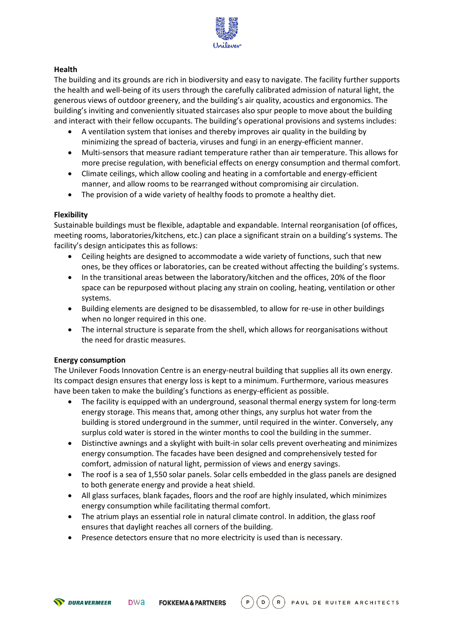

## **Health**

The building and its grounds are rich in biodiversity and easy to navigate. The facility further supports the health and well-being of its users through the carefully calibrated admission of natural light, the generous views of outdoor greenery, and the building's air quality, acoustics and ergonomics. The building's inviting and conveniently situated staircases also spur people to move about the building and interact with their fellow occupants. The building's operational provisions and systems includes:

- A ventilation system that ionises and thereby improves air quality in the building by minimizing the spread of bacteria, viruses and fungi in an energy-efficient manner.
- Multi-sensors that measure radiant temperature rather than air temperature. This allows for more precise regulation, with beneficial effects on energy consumption and thermal comfort.
- Climate ceilings, which allow cooling and heating in a comfortable and energy-efficient manner, and allow rooms to be rearranged without compromising air circulation.
- The provision of a wide variety of healthy foods to promote a healthy diet.

## **Flexibility**

Sustainable buildings must be flexible, adaptable and expandable. Internal reorganisation (of offices, meeting rooms, laboratories/kitchens, etc.) can place a significant strain on a building's systems. The facility's design anticipates this as follows:

- Ceiling heights are designed to accommodate a wide variety of functions, such that new ones, be they offices or laboratories, can be created without affecting the building's systems.
- In the transitional areas between the laboratory/kitchen and the offices, 20% of the floor space can be repurposed without placing any strain on cooling, heating, ventilation or other systems.
- Building elements are designed to be disassembled, to allow for re-use in other buildings when no longer required in this one.
- The internal structure is separate from the shell, which allows for reorganisations without the need for drastic measures.

## **Energy consumption**

The Unilever Foods Innovation Centre is an energy-neutral building that supplies all its own energy. Its compact design ensures that energy loss is kept to a minimum. Furthermore, various measures have been taken to make the building's functions as energy-efficient as possible.

- The facility is equipped with an underground, seasonal thermal energy system for long-term energy storage. This means that, among other things, any surplus hot water from the building is stored underground in the summer, until required in the winter. Conversely, any surplus cold water is stored in the winter months to cool the building in the summer.
- Distinctive awnings and a skylight with built-in solar cells prevent overheating and minimizes energy consumption. The facades have been designed and comprehensively tested for comfort, admission of natural light, permission of views and energy savings.
- The roof is a sea of 1,550 solar panels. Solar cells embedded in the glass panels are designed to both generate energy and provide a heat shield.
- All glass surfaces, blank façades, floors and the roof are highly insulated, which minimizes energy consumption while facilitating thermal comfort.
- The atrium plays an essential role in natural climate control. In addition, the glass roof ensures that daylight reaches all corners of the building.
- Presence detectors ensure that no more electricity is used than is necessary.

 $(D)$ PAUL DE RUITER ARCHITECTS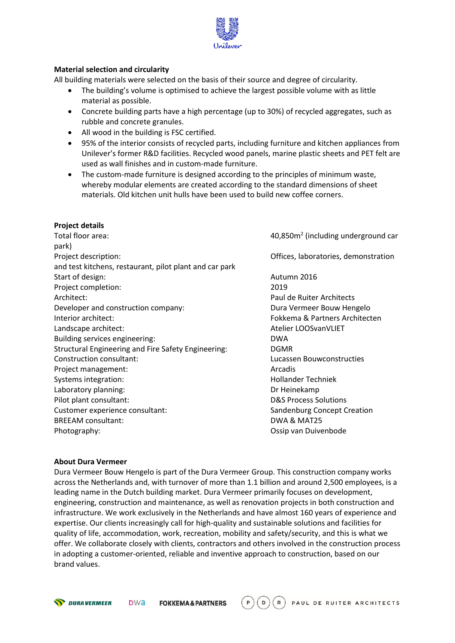

## **Material selection and circularity**

All building materials were selected on the basis of their source and degree of circularity.

- The building's volume is optimised to achieve the largest possible volume with as little material as possible.
- Concrete building parts have a high percentage (up to 30%) of recycled aggregates, such as rubble and concrete granules.
- All wood in the building is FSC certified.
- 95% of the interior consists of recycled parts, including furniture and kitchen appliances from Unilever's former R&D facilities. Recycled wood panels, marine plastic sheets and PET felt are used as wall finishes and in custom-made furniture.
- The custom-made furniture is designed according to the principles of minimum waste, whereby modular elements are created according to the standard dimensions of sheet materials. Old kitchen unit hulls have been used to build new coffee corners.

## **Project details**

Total floor area: park) Project description: Offices, laboratories, demonstration and test kitchens, restaurant, pilot plant and car park Start of design: Autumn 2016 Project completion: 2019 Architect: Paul de Ruiter Architects Developer and construction company: Dura Vermeer Bouw Hengelo Interior architect: Fokkema & Partners Architecten Landscape architect: Atelier LOOSvanVLIET Building services engineering: DWA Structural Engineering and Fire Safety Engineering: DGMR Construction consultant: Lucassen Bouwconstructies Project management: Arcadis Systems integration: The Contract of the Hollander Techniek Laboratory planning: Dr Heinekamp Pilot plant consultant: D&S Process Solutions Customer experience consultant: Sandenburg Concept Creation BREEAM consultant: The Consultant of the Consultant of the Consultant of the Consultant of the DWA & MAT25 Photography: Ossip van Duivenbode

 $40,850$ m<sup>2</sup> (including underground car

## **About Dura Vermeer**

Dura Vermeer Bouw Hengelo is part of the Dura Vermeer Group. This construction company works across the Netherlands and, with turnover of more than 1.1 billion and around 2,500 employees, is a leading name in the Dutch building market. Dura Vermeer primarily focuses on development, engineering, construction and maintenance, as well as renovation projects in both construction and infrastructure. We work exclusively in the Netherlands and have almost 160 years of experience and expertise. Our clients increasingly call for high-quality and sustainable solutions and facilities for quality of life, accommodation, work, recreation, mobility and safety/security, and this is what we offer. We collaborate closely with clients, contractors and others involved in the construction process in adopting a customer-oriented, reliable and inventive approach to construction, based on our brand values.

 $\left($  D  $R$ PAUL DE RUITER ARCHITECTS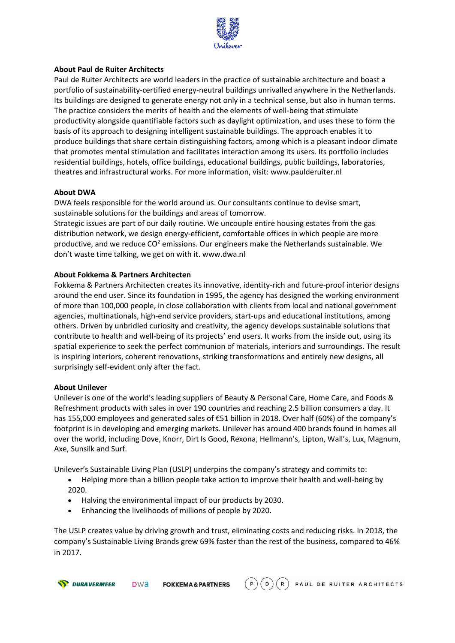

## **About Paul de Ruiter Architects**

Paul de Ruiter Architects are world leaders in the practice of sustainable architecture and boast a portfolio of sustainability-certified energy-neutral buildings unrivalled anywhere in the Netherlands. Its buildings are designed to generate energy not only in a technical sense, but also in human terms. The practice considers the merits of health and the elements of well-being that stimulate productivity alongside quantifiable factors such as daylight optimization, and uses these to form the basis of its approach to designing intelligent sustainable buildings. The approach enables it to produce buildings that share certain distinguishing factors, among which is a pleasant indoor climate that promotes mental stimulation and facilitates interaction among its users. Its portfolio includes residential buildings, hotels, office buildings, educational buildings, public buildings, laboratories, theatres and infrastructural works. For more information, visit: [www.paulderuiter.nl](http://www.paulderuiter.nl/)

## **About DWA**

DWA feels responsible for the world around us. Our consultants continue to devise smart, sustainable solutions for the buildings and areas of tomorrow.

Strategic issues are part of our daily routine. We uncouple entire housing estates from the gas distribution network, we design energy-efficient, comfortable offices in which people are more productive, and we reduce  $CO<sup>2</sup>$  emissions. Our engineers make the Netherlands sustainable. We don't waste time talking, we get on with it. [www.dwa.nl](http://www.dwa.nl/)

## **About Fokkema & Partners Architecten**

Fokkema & Partners Architecten creates its innovative, identity-rich and future-proof interior designs around the end user. Since its foundation in 1995, the agency has designed the working environment of more than 100,000 people, in close collaboration with clients from local and national government agencies, multinationals, high-end service providers, start-ups and educational institutions, among others. Driven by unbridled curiosity and creativity, the agency develops sustainable solutions that contribute to health and well-being of its projects' end users. It works from the inside out, using its spatial experience to seek the perfect communion of materials, interiors and surroundings. The result is inspiring interiors, coherent renovations, striking transformations and entirely new designs, all surprisingly self-evident only after the fact.

## **About Unilever**

Unilever is one of the world's leading suppliers of Beauty & Personal Care, Home Care, and Foods & Refreshment products with sales in over 190 countries and reaching 2.5 billion consumers a day. It has 155,000 employees and generated sales of €51 billion in 2018. Over half (60%) of the company's footprint is in developing and emerging markets. Unilever has around 400 brands found in homes all over the world, including Dove, Knorr, Dirt Is Good, Rexona, Hellmann's, Lipton, Wall's, Lux, Magnum, Axe, Sunsilk and Surf.

Unilever's Sustainable Living Plan (USLP) underpins the company's strategy and commits to:

- Helping more than a billion people take action to improve their health and well-being by 2020.
- Halving the environmental impact of our products by 2030.
- Enhancing the livelihoods of millions of people by 2020.

The USLP creates value by driving growth and trust, eliminating costs and reducing risks. In 2018, the company's Sustainable Living Brands grew 69% faster than the rest of the business, compared to 46% in 2017.

 $(D)(R)$ PAUL DE RUITER ARCHITECTS